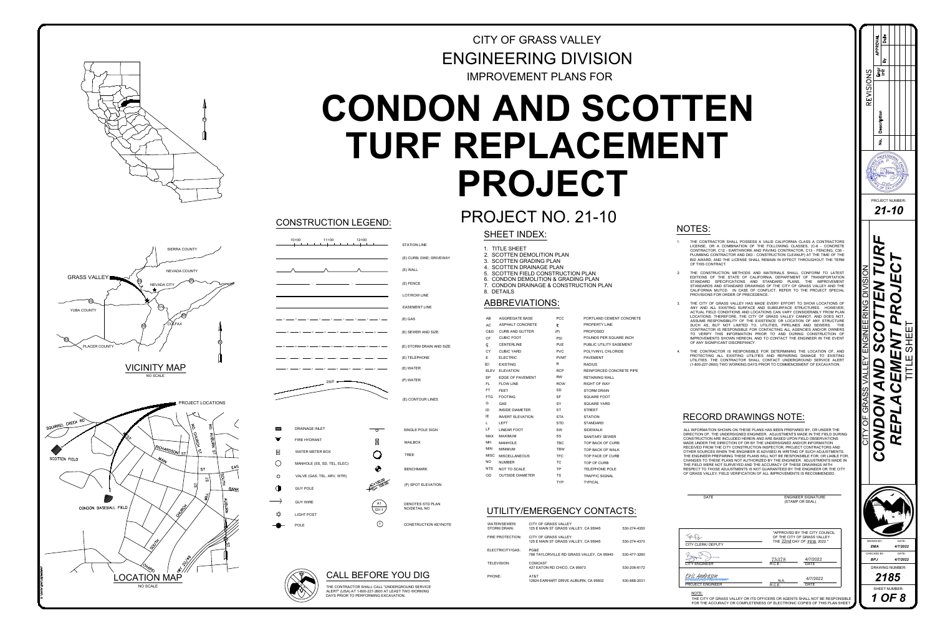

# OJECT I<br>SHEET INDEX:<br>1. TITLE SHEET OJECT NO.<br>SHEET INDEX:<br>1. TITLE SHEET<br>2. SCOTTEN DEMOLITION PLAN ENGINEERING DIVISION<br>
CONDON AND SCOTTEN<br>
TURF REPLACEMENT<br>
PROJECT<br>
PROJECT<br>
PROJECT<br>
PROJECT<br>
PROJECT<br>
PROJECT<br>
PROJECT<br>
PROJECT<br>
PROJECT<br>
PROJECT<br>
PROJECT<br>
PROJECT<br>
PROJECT<br>
PROJECT<br>
PROJECT<br>
PROJECT<br>
PROJECT<br>
PROJECT<br>

- A VALID CALIFORNIA CLASS A CONTRACTORS NOTES:<br>1. The contractor shall possess a valid california class a contractors<br>LICENSE, OR A COMBINATION OF THE FOLLOWING CLASSES, (C-8 - CONCRETE TOR SHALL POSSESS A VALID CALIFORNIA CLASS A CONTRACTORS<br>A COMBINATION OF THE FOLLOWING CLASSES, (C-8 - CONCRETE TES:<br>THE CONTRACTOR SHALL POSSESS A VALID CALIFORNIA CLASS A CONTRACTORS<br>LICENSE, OR A COMBINATION OF THE FOLLOWING CLASSES, (C-8 - CONCRETE<br>CONTRACTOR, C12 - EARTHWORK AND PAVING CONTRACTOR, C13 - FENCING, C36 -TES:<br>THE CONTRACTOR SHALL POSSESS A VALID CALIFORNIA CLASS A CONTRACTORS<br>LICENSE, OR A COMBINATION OF THE FOLLOWING CLASSES, (C-8 - CONCRETE<br>CONTRACTOR, C12 - EARTHWORK AND PAVING CONTRACTOR, C13 - FENCING, C36 -<br>PLUMBING TES:<br>THE CONTRACTOR SHALL POSSESS A VALID CALIFORNIA CLASS A CONTRACTORS<br>LICENSE, OR A COMBINATION OF THE FOLLOWING CLASSES, (C-8 - CONCRETE<br>CONTRACTOR, C12 - EARTHWORK AND PAVING CONTRACTOR, C13 - FENCING, C36 -<br>PLUMBING CONTRACTOR, C12 - EARTHWORK AND PAVING CONTRACTOR, C13 - FENCING, C36 - PLUMBING CONTRACTOR AND D63 - CONSTRUCTION CLEANUP) AT THE TIME OF THE BID AWARD, AND THE LICENSE SHALL REMAIN IN EFFECT THROUGHOUT THE TERM OF THIS C NOTES:<br>2. THE CONTRACTOR SHALL POSSESS A VALID CALIFORNIA CLASS A CONTRACTORS<br>2. LICENSE, OR A COMBINATION OF THE FOLLOWING CLASSES, (C-8 - CONCRETE<br>2. CONTRACTOR, C12 - EARTHWORK AND PAYING CONTRACTOR, C13 - FENCING, C36<br> THE CONTRACTOR SHALL POSSESS A VALID CALIFORNIA CLASS A CONTRACTORS<br>LICENSE, OR A COMBINATION OF THE FOLLOWING CLASSES, (C-8 - CONCRETE<br>CONTRACTOR, C12 - EARTHWORK AND PAVING CONTRACTOR, C13 - FENCING, C36 -<br>PLUMBING CONTR THE CONTRACTOR SHALL POSSESS A VALID CALIFORNIA CLASS A CONTRACTORS<br>LICENSE, OR A COMBINATION OF THE FOLLOWING CLASSES, (C-8 - CONCRETE<br>CONTRACTOR, C12 - EARTHWORK AND PAVING CONTRACTOR, C13 - FENCING, C36 -<br>PLUMBING CONTR LICENSE, OR A COMBINATION OF THE FOLLOWING CLASSES, (C-8 - CONCRETE<br>CONTRACTOR, C12 - EARTHWORK AND PAVING CONTRACTOR, C13 - FENCING, C36 -<br>PLUMBING CONTRACTOR AND D63 - CONSTRUCTION CLEANUP) AT THE TIME OF THE<br>BID AWARD,
- LICENSE, OR A COMBINATION OF THE FOLLOWING CLASSES, (C-8 CONCRETE<br>CONTRACTOR, C12 EARTHWORK AND PAVING CONTRACTOR, C13 FENCING, C36 -<br>PLUMBING CONTRACTOR AND D63 CONSTRUCTION CLEANUP) AT THE TIME OF THE<br>BID AWARD, STANDARD SPECIFICATIONS AND STANDARD PLANS, THE IMPROVEMENT<br>STANDARDS AND STANDARD DRAWINGS OF THE CITY OF GRASS VALLEY AND THE<br>CALIFORNIA MUTCD. IN CASE OF CONFLICT, REFER TO THE PROJECT SPECIAL<br>PROVISIONS FOR ORDER OF PR CONTRACTOR, C12 - EARTHWORK AND PAVING CONTRACTOR, C13 - FENCING, C36 - PLUMBING CONTRACTOR AND D63 - CONSTRUCTION CLEANUP) AT THE TIME OF THE BID AWARD, AND THE LICENSE SHALL REMAIN IN EFFECT THROUGHOUT THE TERM OF THIS C OF THIS CONTRACT.<br>THE CONSTRUCTION METHODS AND MATERIALS SHALL CONFORM TO LATEST<br>EDITIONS OF THE STATE OF CALIFORNIA, DEPARTMENT OF TRANSPORTATION<br>STANDARD SPECIFICATIONS AND STANDARD PLANS, THE IMPROVEMENT<br>STANDARDS AND S OF THIS CONTRACT.<br>THE CONSTRUCTION METHODS AND MATERIALS SHALL CONFORM TO LATEST<br>EDITIONS OF THE STATE OF CALIFORNIA, DEPARTMENT OF TRANSPORTATION<br>STANDARD SPECIFICATIONS AND STANDARD PLANS, THE IMPROVEMENT<br>STANDARDS AND S EDITIONS OF THE STATE OF CALIFORNIA, DEPARTMENT OF TRANSPORTATION<br>STANDARD SPECIFICATIONS AND STANDARD PLANS, THE IMPROVEMENT<br>STANDARDS AND STANDARD DRAWINGS OF THE CITY OF GRASS VALLEY AND THE<br>CALIFORNIA MUTCD. IN CASE OF
- STANDARD SPECIFICATIONS AND STANDARD PLANS, THE IMPROVEMENT<br>STANDARDS AND STANDARD DRAWINGS OF THE CITY OF GRASS VALLEY AND THE<br>CALIFORNIA MUTCD. IN CASE OF CONFLICT, REFER TO THE PROJECT SPECIAL<br>PROVISIONS FOR ORDER OF PR STANDARDS AND STANDARD DRAWINGS OF THE CITY OF GRASS VALLEY AND THE CALIFORNIA MUTCD. IN CASE OF CONFLICT, REFER TO THE PROJECT SPECIAL<br>PROVISIONS FOR ORDER OF PRECEDENCE.<br>THE CITY OF GRASS VALLEY HAS MADE EVERY EFFORT TO STANDARDS AND STANDARD DRAWINGS OF THE CITY OF GRASS VALLEY AND THE CALIFORNIA MUTCD. IN CASE OF CONFLICT, REFER TO THE PROJECT SPECIAL<br>PROVISIONS FOR ORDER OF PRECEDENCE.<br>THE CITY OF GRASS VALLEY HAS MADE EVERY EFFORT TO CALIFORNIA MUTCD. IN CASE OF CONFLICT, REFER TO THE PROJECT SPECIAL<br>PROVISIONS FOR ORDER OF PRECEDENCE.<br>THE CITY OF GRASS VALLEY HAS MADE EVERY EFFORT TO SHOW LOCATIONS OF<br>ANY AND ALL EXISTING SURFACE AND SUBSURFACE STRUCT PROVISIONS FOR ORDER OF PRECEDENCE.<br>THE CITY OF GRASS VALLEY HAS MADE EVERY EFFORT TO SHOW LOCATIONS OF<br>ANY AND ALL EXISTING SURFACE AND SUBSURFACE STRUCTURES. HOWEVER,<br>ACTUAL FIELD CONDITIONS AND LOCATIONS CAN VARY CONSID CONTRACTOR IS RESPONSIBLE FOR CONTACTING ALL AGENCIES AND/OR OWNERS<br>TO VERIFY THIS INFORMATION PRIOR TO AND DURING CONSTRUCTION OF<br>IMPROVEMENTS SHOWN HEREON, AND TO CONTACT THE ENGINEER IN THE EVENT<br>OF ANY SIGNIFICANT DISC ANY AND ALL EXISTING SURFACE AND SUBSURFACE STRUCTURES. HOWEVER, ACTUAL FIELD CONDITIONS AND LOCATIONS CAN VARY CONSIDERABLY FROM PLAN LOCATIONS. THEREFORE, THE CITY OF GRASS VALLEY CANNOT, AND DOES NOT, ASSUME RESPONSIBIL ACTUAL FIELD CONDITIONS AND LOCATIONS CAN VARY CONSIDERABLY FROM PLAN<br>LOCATIONS. THEREFORE, THE CITY OF GRASS VALLEY CANNOT, AND DOES NOT,<br>ASSUME RESPONSIBILITY OF THE EXISTENCE OR LOCATION OF ANY STRUCTURE<br>SUCH AS, BUT NO ASSUME RESPONSIBILITY OF THE EXISTENCE OR LOCATION OF ANY STRUCTURE<br>SUCH AS, BUT NOT LIMITED TO, UTILITIES, PIPELINES AND SEWERS. THE<br>CONTRACTOR IS RESPONSIBLE FOR CONTACTING ALL AGENCIES AND/OR OWNERS<br>TO VERIFY THIS INFOR
- 

| DAIE                                                                                                                                                              |                 | ENGINEER SIGNATURE<br>(STAMP OR SEAL)                                                      |                           |                               |
|-------------------------------------------------------------------------------------------------------------------------------------------------------------------|-----------------|--------------------------------------------------------------------------------------------|---------------------------|-------------------------------|
| CITY CLERK/ DEPUTY                                                                                                                                                |                 | "APPROVED BY THE CITY COUNCIL<br>OF THE CITY OF GRASS VALLEY<br>THE 22nd DAY OF FEB 2022." | DRAWN BY:<br><b>EMA</b>   | DATE:<br>4/7/202              |
| <b>CITY ENGINEER</b>                                                                                                                                              | 75378<br>R.C.E. | 4/7/2022<br><b>DATE</b>                                                                    | CHECKED BY:<br><b>BPJ</b> | DATE:<br>4/7/20               |
| Eric Andreson<br>Eric Andreson (Apr 7, 2022 15:23 PDT)<br><b>PROJECT ENGINEER</b>                                                                                 | N.A.<br>R.C.E.  | 4/7/2022<br><b>DATE</b>                                                                    |                           | <b>DRAWING NUMBER</b><br>2185 |
| NOTE:<br>THE CITY OF GRASS VALLEY OR ITS OFFICERS OR AGENTS SHALL NOT BE RESPONSIBLE<br>FOR THE ACCURACY OR COMPLETENESS OF ELECTRONIC COPIES OF THIS PLAN SHEET. |                 |                                                                                            |                           | <b>SHEET NUMBER:</b><br>OF 8  |

 $\Omega$  $|Z|$  $\bigcirc$  $\Omega$ CONDON AND SCOTTEN TURF  $\left|\sum_{\mathbb{R}^3_+}\right|_{\mathbb{R}^3_+}\leq \frac{2}{\mathbb{R}^3_+}\left|\sum_{\mathbb{R}^3_+}\left|\sum_{\mathbb{R}^3_+}\left(\sum_{\mathbb{R}^3_+}\right)^2\right|\right|_{\mathbb{R}^3_+}\right|$ ய  $\alpha$ *REPLACEMENT PROJECT BPJ 4/7/2022 4/7/2022 21-10* CITY OF GRASS VALLEY ENGINEERING DIVISION NAMBERING DIVISION NAMBER: NUMBER: NUMBER: NUMBER: NUMBER: NUMBER: NUMBER: NUMBER: NUMBER: NUMBER: NUMBER: NUMBER: NUMBER: NUMBER: NUMBER: NUMBER: NUMBER: NUMBER: NUMBER: NUMBER: N **PROJECT NUMBER**  $21 - 10$ TITLE SHEET  $\alpha$ **2185 EMANGER AND READ FOR A** DATE:  $\frac{4/7/2022}{\text{DATE:}}$ CHECKED BY: DATE:<br>
BPJ 4/7/2022<br>
DRAWING NUMBER:<br>
2185<br>
SHEET NUMBER:



# **CALL BEFORE YOU DIG**<br>THE CONTRACTOR SHALL CALL "UNDERGROUND SERVICE<br>ALERT" (USA) AT 1-800-227-2600 AT LEAST TWO WORKING

# OJECT NC<br>SHEET INDEX:<br>1. TITLE SHEET<br>2. SCOTTEN DEMOLITION PL<br>3. SCOTTEN GRADING PLAN OJECT NC<br>SHEET INDEX:<br>1. TITLE SHEET<br>2. SCOTTEN DEMOLITION PLAN<br>3. SCOTTEN GRADING PLAN<br>4. SCOTTEN DRAINAGE PLAN OJECT NO. 21-<br>SHEET INDEX:<br>1. TITLE SHEET<br>2. SCOTTEN DEMOLITION PLAN<br>3. SCOTTEN GRADING PLAN<br>4. SCOTTEN DRAINAGE PLAN<br>5. SCOTTEN FIELD CONSTRUCTION PLAN UJEU I INU. Z I =<br>SHEET INDEX:<br>1. TITLE SHEET<br>2. SCOTTEN DEMOLITION PLAN<br>3. SCOTTEN GRADING PLAN<br>4. SCOTTEN DRAINAGE PLAN<br>5. SCOTTEN FIELD CONSTRUCTION PLAN<br>6. CONDON DEMOLITION & GRADING PLAN 5 THE SHEET THE SERVICE SHEET<br>2. SCOTTEN DEMOLITION PLAN<br>3. SCOTTEN DEMOLITION PLAN<br>4. SCOTTEN GRADING PLAN<br>5. SCOTTEN FIELD CONSTRUCTION PLAN<br>6. CONDON DEMOLITION & GRADING PLAN<br>7. CONDON DRAINAGE & CONSTRUCTION PLAN **SHEET**<br>1. TITLE SF<br>2. SCOTTE<br>3. SCOTTE<br>4. SCOTTE<br>5. SCOTTE<br>6. CONDOM<br>7. CONDOM<br>8. DETAILS

- 
- 
- 
- 
- 
- 
- 
- 

| <b>CONSTRUCTION LEGEND:</b>                                                     |                                                                            | PROJECT NO. 21-10<br><b>SHEET INDEX:</b>                                                                                                                                                                                                 |                                                                      |                                                                                                        | <b>NOTES:</b>                                                                                                                                                                                                                                                                                                                                                                                                                                                                                                                                                                                                                                                                                                                 |
|---------------------------------------------------------------------------------|----------------------------------------------------------------------------|------------------------------------------------------------------------------------------------------------------------------------------------------------------------------------------------------------------------------------------|----------------------------------------------------------------------|--------------------------------------------------------------------------------------------------------|-------------------------------------------------------------------------------------------------------------------------------------------------------------------------------------------------------------------------------------------------------------------------------------------------------------------------------------------------------------------------------------------------------------------------------------------------------------------------------------------------------------------------------------------------------------------------------------------------------------------------------------------------------------------------------------------------------------------------------|
| $10+00$<br>$11+00$<br>$12 + 00$                                                 | <b>STATION LINE</b><br>(E) CURB; DIKE; DRIVEWAY<br>(E) WALL<br>$(E)$ FENCE | 1. TITLE SHEET<br>2. SCOTTEN DEMOLITION PLAN<br>3. SCOTTEN GRADING PLAN<br>4. SCOTTEN DRAINAGE PLAN<br>5. SCOTTEN FIELD CONSTRUCTION PLAN<br>6. CONDON DEMOLITION & GRADING PLAN<br>7. CONDON DRAINAGE & CONSTRUCTION PLAN<br>8. DETAILS |                                                                      |                                                                                                        | THE CONTRACTOR SHALL POSSESS A VALID CALIFORNIA CLASS A CONTRACTO<br>LICENSE, OR A COMBINATION OF THE FOLLOWING CLASSES, (C-8 - CONCRE<br>CONTRACTOR, C12 - EARTHWORK AND PAVING CONTRACTOR, C13 - FENCING, C3<br>PLUMBING CONTRACTOR AND D63 - CONSTRUCTION CLEANUP) AT THE TIME OF T<br>BID AWARD, AND THE LICENSE SHALL REMAIN IN EFFECT THROUGHOUT THE TEI<br>OF THIS CONTRACT.<br>THE CONSTRUCTION METHODS AND MATERIALS SHALL CONFORM TO LATE<br>EDITIONS OF THE STATE OF CALIFORNIA, DEPARTMENT OF TRANSPORTATI<br>STANDARD SPECIFICATIONS AND STANDARD PLANS, THE IMPROVEME<br>STANDARDS AND STANDARD DRAWINGS OF THE CITY OF GRASS VALLEY AND T<br>CALIFORNIA MUTCD. IN CASE OF CONFLICT, REFER TO THE PROJECT SPECI |
|                                                                                 | LOT/ROW LINE<br><b>EASEMENT LINE</b>                                       | <b>ABBREVIATIONS:</b>                                                                                                                                                                                                                    |                                                                      |                                                                                                        | PROVISIONS FOR ORDER OF PRECEDENCE.<br>THE CITY OF GRASS VALLEY HAS MADE EVERY EFFORT TO SHOW LOCATIONS<br>ANY AND ALL EXISTING SURFACE AND SUBSURFACE STRUCTURES. HOWEVE                                                                                                                                                                                                                                                                                                                                                                                                                                                                                                                                                     |
|                                                                                 | (E) GAS<br>(E) SEWER AND SIZE                                              | <b>AGGREGATE BASE</b><br>ASPHALT CONCRETE<br>AC.<br>C&G CURB AND GUTTER                                                                                                                                                                  | <b>PCC</b><br>(P)                                                    | PORTLAND CEMENT CONCRETE<br>PROPERTY LINE<br>PROPOSED                                                  | ACTUAL FIELD CONDITIONS AND LOCATIONS CAN VARY CONSIDERABLY FROM PL<br>LOCATIONS. THEREFORE, THE CITY OF GRASS VALLEY CANNOT, AND DOES NO<br>ASSUME RESPONSIBILITY OF THE EXISTENCE OR LOCATION OF ANY STRUCTU<br>SUCH AS, BUT NOT LIMITED TO, UTILITIES, PIPELINES AND SEWERS. T<br>CONTRACTOR IS RESPONSIBLE FOR CONTACTING ALL AGENCIES AND/OR OWNE                                                                                                                                                                                                                                                                                                                                                                        |
|                                                                                 | (E) STORM DRAIN AND SIZE                                                   | <b>CUBIC FOOT</b><br>CF.<br><b>CENTERLINE</b>                                                                                                                                                                                            | <b>PSI</b><br><b>PUE</b>                                             | POUNDS PER SQUARE INCH<br>PUBLIC UTILITY EASEMENT                                                      | TO VERIFY THIS INFORMATION PRIOR TO AND DURING CONSTRUCTION<br>IMPROVEMENTS SHOWN HEREON, AND TO CONTACT THE ENGINEER IN THE EVE<br>OF ANY SIGNIFICANT DISCREPANCY.                                                                                                                                                                                                                                                                                                                                                                                                                                                                                                                                                           |
|                                                                                 | (E) TELEPHONE                                                              | <b>CUBIC YARD</b><br>CY.<br><b>ELECTRIC</b><br>(E)<br><b>EXISTING</b>                                                                                                                                                                    | <b>PVC</b><br><b>PVMT</b><br>R.                                      | POLYVINYL CHLORIDE<br><b>PAVEMENT</b><br><b>RADIUS</b>                                                 | THE CONTRACTOR IS RESPONSIBLE FOR DETERMINING THE LOCATION OF, A<br>PROTECTING ALL EXISTING UTILITIES AND REPAIRING DAMAGE TO EXISTII<br>UTILITIES. THE CONTRACTOR SHALL CONTACT UNDERGROUND SERVICE ALE<br>(1-800-227-2600) TWO WORKING DAYS PRIOR TO COMMENCEMENT OF EXCAVATION                                                                                                                                                                                                                                                                                                                                                                                                                                             |
|                                                                                 | (E) WATER<br>(P) WATER                                                     | <b>ELEV</b><br><b>ELEVATION</b><br><b>EDGE OF PAVEMENT</b>                                                                                                                                                                               | <b>RCP</b><br>RW                                                     | REINFORCED CONCRETE PIPE<br><b>RETAINING WALL</b>                                                      |                                                                                                                                                                                                                                                                                                                                                                                                                                                                                                                                                                                                                                                                                                                               |
| 2500                                                                            | (E) CONTOUR LINES                                                          | <b>FLOW LINE</b><br>FL.<br>FT.<br><b>FEET</b><br><b>FTG</b><br><b>FOOTING</b><br><b>GAS</b><br><b>INSIDE DIAMETER</b>                                                                                                                    | <b>ROW</b><br>SD<br><b>SF</b><br>SY<br><b>ST</b>                     | <b>RIGHT OF WAY</b><br><b>STORM DRAIN</b><br><b>SQUARE FOOT</b><br><b>SQUARE YARD</b><br><b>STREET</b> |                                                                                                                                                                                                                                                                                                                                                                                                                                                                                                                                                                                                                                                                                                                               |
| <b>DRAINAGE INLET</b><br>ᆯ<br>$\overline{\phantom{a}}$ $\overline{\phantom{a}}$ | SINGLE POLE SIGN                                                           | <b>INVERT ELEVATION</b><br><b>LEFT</b><br><b>LINEAR FOOT</b>                                                                                                                                                                             | <b>STA</b><br><b>STD</b><br>SW                                       | <b>STATION</b><br><b>STANDARD</b><br><b>SIDEWALK</b>                                                   | <b>RECORD DRAWINGS NOTE:</b><br>ALL INFORMATION SHOWN ON THESE PLANS HAS BEEN PREPARED BY, OR UNDER THE<br>DIRECTION OF, THE UNDERSIGNED ENGINEER. ADJUSTMENTS MADE IN THE FIELD DUF                                                                                                                                                                                                                                                                                                                                                                                                                                                                                                                                          |
| FIRE HYDRANT<br>$\boxtimes$<br><b>WATER METER BOX</b>                           | <b>MAILBOX</b><br><b>TREE</b>                                              | MAX<br><b>MAXIMUM</b><br>MН<br><b>MANHOLE</b><br>MIN<br><b>MINIMUM</b><br>MISC<br><b>MISCELLANEOUS</b>                                                                                                                                   | SS<br><b>TBC</b><br><b>TBW</b><br><b>TFC</b>                         | <b>SANITARY SEWER</b><br><b>TOP BACK OF CURB</b><br>TOP BACK OF WALK<br>TOP FACE OF CURB               | CONSTRUCTION ARE INCLUDED HEREIN AND ARE BASED UPON FIELD OBSERVATIONS<br>MADE UNDER THE DIRECTION OF OR BY THE UNDERSIGNED AND/OR INFORMATION<br>RECEIVED FROM THE CITY CONSTRUCTION INSPECTOR, PROJECT CONTRACTORS AND<br>OTHER SOURCES WHEN THE ENGINEER IS ADVISED IN WRITING OF SUCH ADJUSTMENT<br>THE ENGINEER PREPARING THESE PLANS WILL NOT BE RESPONSIBLE FOR, OR LIABLE<br>CHANGES TO THESE PLANS NOT AUTHORIZED BY THE ENGINEER. ADJUSTMENTS MAD                                                                                                                                                                                                                                                                   |
| MANHOLE (SS, SD, TEL, ELEC)<br>VALVE (GAS, TEL, ARV, WTR)                       | <b>BENCHMARK</b><br>(P) SPOT ELEVATION                                     | NO.<br><b>NUMBER</b><br>NTS<br>NOT TO SCALE<br><b>OUTSIDE DIAMETER</b>                                                                                                                                                                   | <b>TC</b><br><b>TP</b><br><b>TS</b><br><b>TYP</b>                    | TOP OF CURB<br><b>TELEPHONE POLE</b><br><b>TRAFFIC SIGNAL</b><br><b>TYPICAL</b>                        | THE FIELD WERE NOT SURVEYED AND THE ACCURACY OF THESE DRAWINGS WITH<br>RESPECT TO THOSE ADJUSTMENTS IS NOT GUARANTEED BY THE ENGINEER OR THE C<br>OF GRASS VALLEY; FIELD VERIFICATION OF ALL IMPROVEMENTS IS RECOMMENDED.                                                                                                                                                                                                                                                                                                                                                                                                                                                                                                     |
| <b>GUY POLE</b><br><b>GUY WIRE</b>                                              | <b>DENOTES STD PLAN</b><br>NO/DETAIL NO<br>$GV-1$                          | UTILITY/EMERGENCY CONTACTS:                                                                                                                                                                                                              |                                                                      |                                                                                                        | <b>DATE</b><br><b>ENGINEER SIGNATURE</b><br>(STAMP OR SEAL)                                                                                                                                                                                                                                                                                                                                                                                                                                                                                                                                                                                                                                                                   |
| <b>LIGHT POST</b><br>POLE                                                       | $\bigcirc$<br><b>CONSTRUCTION KEYNOTE</b>                                  | WATER/SEWER/<br><b>STORM DRAIN:</b>                                                                                                                                                                                                      | <b>CITY OF GRASS VALLEY</b><br>125 E MAIN ST GRASS VALLEY, CA 95945  | 530-274-4350                                                                                           | "APPROVED BY THE CITY COUNCIL                                                                                                                                                                                                                                                                                                                                                                                                                                                                                                                                                                                                                                                                                                 |
|                                                                                 |                                                                            | FIRE PROTECTION:                                                                                                                                                                                                                         | <b>CITY OF GRASS VALLEY</b><br>125 E MAIN ST GRASS VALLEY, CA 95945  | 530-274-4370                                                                                           | Tours<br>OF THE CITY OF GRASS VALLEY<br>THE 22nd DAY OF FEB 2022."<br><b>CITY CLERK/ DEPUTY</b>                                                                                                                                                                                                                                                                                                                                                                                                                                                                                                                                                                                                                               |
|                                                                                 |                                                                            | ELECTRICITY/GAS:<br>PG&E<br>TELEVISION:<br><b>COMCAST</b>                                                                                                                                                                                | 788 TAYLORVILLE RD GRASS VALLEY, CA 95945                            | 530-477-3260                                                                                           | $\frac{75378}{R.C.E.}$<br>4/7/2022<br><b>DATE</b><br><b>CITY ENGINEER</b>                                                                                                                                                                                                                                                                                                                                                                                                                                                                                                                                                                                                                                                     |
|                                                                                 | CALL BEFORE YOU DIG                                                        | PHONE:<br>AT&T                                                                                                                                                                                                                           | 427 EATON RD CHICO, CA 95973<br>12824 EARHART DRIVE AUBURN, CA 95602 | 530-206-6172<br>530-888-2031                                                                           | <u>Eric Andreson</u><br>4/7/2022<br>N.A.<br>Eric Andreson (Apr 7, 2022 15:23 PDT)                                                                                                                                                                                                                                                                                                                                                                                                                                                                                                                                                                                                                                             |

| WATER/SEWER/<br><b>STORM DRAIN:</b> | CITY OF GRASS VALLEY<br>125 E MAIN ST GRASS VALLEY, CA 95945 | 530-274-4350 |
|-------------------------------------|--------------------------------------------------------------|--------------|
| <b>FIRE PROTECTION:</b>             | CITY OF GRASS VALLEY<br>125 E MAIN ST GRASS VALLEY, CA 95945 | 530-274-4370 |
| ELECTRICITY/GAS:                    | PG&E<br>788 TAYLORVILLE RD GRASS VALLEY, CA 95945            | 530-477-3260 |
| <b>TELEVISION:</b>                  | <b>COMCAST</b><br>427 EATON RD CHICO, CA 95973               | 530-206-6172 |
| PHONE:                              | AT&T<br>12824 EARHART DRIVE AUBURN, CA 95602                 | 530-888-2031 |

|                                 |                          | NUU                                                                           |
|---------------------------------|--------------------------|-------------------------------------------------------------------------------|
| <b>CONSTRUCTION LEGEND:</b>     |                          | <b>PROJECT NO</b>                                                             |
|                                 |                          | <b>SHEET INDEX:</b>                                                           |
| $10+00$<br>$11+00$<br>$12 + 00$ | <b>STATION LINE</b>      | 1. TITLE SHEET                                                                |
|                                 | (E) CURB; DIKE; DRIVEWAY | 2. SCOTTEN DEMOLITION P<br>3. SCOTTEN GRADING PLAN                            |
|                                 | (E) WALL                 | 4. SCOTTEN DRAINAGE PLA<br>5. SCOTTEN FIELD CONSTR                            |
|                                 | (E) FENCE                | 6. CONDON DEMOLITION &<br>7. CONDON DRAINAGE & CO                             |
|                                 | <b>LOT/ROW LINE</b>      | 8. DETAILS                                                                    |
|                                 | <b>EASEMENT LINE</b>     | <b>ABBREVIATIONS:</b>                                                         |
|                                 | (E) GAS                  | <b>AGGREGATE BASE</b><br>AB<br>P                                              |
|                                 | (E) SEWER AND SIZE       | ASPHALT CONCRETE<br>AC<br>P<br><b>CURB AND GUTTER</b><br>(P)<br>C&G           |
|                                 | (E) STORM DRAIN AND SIZE | <b>CF</b><br><b>CUBIC FOOT</b><br>P<br>$\mathsf{P}$<br><b>CENTERLINE</b><br>E |
|                                 | (E) TELEPHONE            | <b>CUBIC YARD</b><br>P<br><b>CY</b><br><b>ELECTRIC</b><br>Е<br>P              |
|                                 | (E) WATER                | (E)<br><b>EXISTING</b><br>R<br><b>ELEV</b><br><b>ELEVATION</b><br>R           |
| 2500                            | (P) WATER                | EP<br>R<br><b>EDGE OF PAVEMENT</b>                                            |
|                                 |                          | <b>FLOW LINE</b><br>FL.<br>R<br><b>FT</b><br>S<br><b>FEET</b>                 |
|                                 | (E) CONTOUR LINES        | <b>FTG</b><br><b>FOOTING</b><br>S                                             |